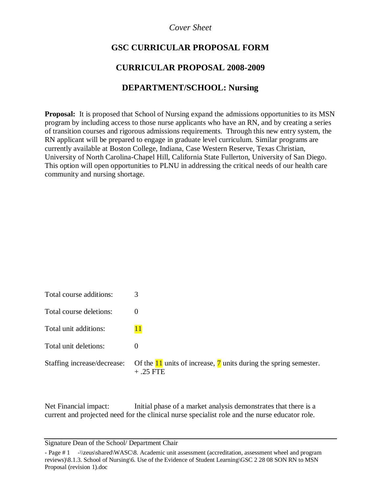### *Cover Sheet*

# **GSC CURRICULAR PROPOSAL FORM**

## **CURRICULAR PROPOSAL 2008-2009**

### **DEPARTMENT/SCHOOL: Nursing**

**Proposal:** It is proposed that School of Nursing expand the admissions opportunities to its MSN program by including access to those nurse applicants who have an RN, and by creating a series of transition courses and rigorous admissions requirements. Through this new entry system, the RN applicant will be prepared to engage in graduate level curriculum. Similar programs are currently available at Boston College, Indiana, Case Western Reserve, Texas Christian, University of North Carolina-Chapel Hill, California State Fullerton, University of San Diego. This option will open opportunities to PLNU in addressing the critical needs of our health care community and nursing shortage.

| Total course additions:     | 3                                                                                                         |
|-----------------------------|-----------------------------------------------------------------------------------------------------------|
| Total course deletions:     |                                                                                                           |
| Total unit additions:       |                                                                                                           |
| Total unit deletions:       |                                                                                                           |
| Staffing increase/decrease: | Of the $\frac{11}{11}$ units of increase, $\frac{7}{11}$ units during the spring semester.<br>$+ .25$ FTE |

Net Financial impact: Initial phase of a market analysis demonstrates that there is a current and projected need for the clinical nurse specialist role and the nurse educator role.

Signature Dean of the School/ Department Chair

<sup>-</sup> Page # 1 -\\zeus\shared\WASC\8. Academic unit assessment (accreditation, assessment wheel and program reviews)\8.1.3. School of Nursing\6. Use of the Evidence of Student Learning\GSC 2 28 08 SON RN to MSN Proposal (revision 1).doc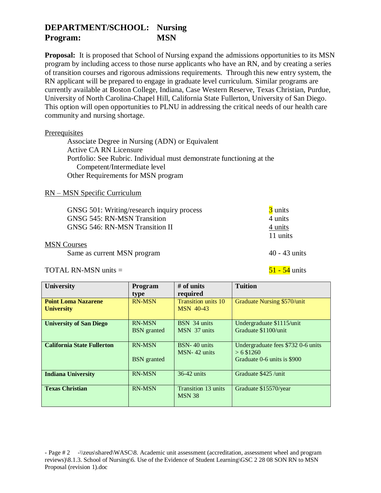# **DEPARTMENT/SCHOOL: Nursing Program: MSN**

**Proposal:** It is proposed that School of Nursing expand the admissions opportunities to its MSN program by including access to those nurse applicants who have an RN, and by creating a series of transition courses and rigorous admissions requirements. Through this new entry system, the RN applicant will be prepared to engage in graduate level curriculum. Similar programs are currently available at Boston College, Indiana, Case Western Reserve, Texas Christian, Purdue, University of North Carolina-Chapel Hill, California State Fullerton, University of San Diego. This option will open opportunities to PLNU in addressing the critical needs of our health care community and nursing shortage.

#### **Prerequisites**

Associate Degree in Nursing (ADN) or Equivalent Active CA RN Licensure Portfolio: See Rubric. Individual must demonstrate functioning at the Competent/Intermediate level Other Requirements for MSN program

#### RN – MSN Specific Curriculum

| GNSG 501: Writing/research inquiry process | 3 units             |
|--------------------------------------------|---------------------|
| <b>GNSG 545: RN-MSN Transition</b>         | 4 units             |
| <b>GNSG 546: RN-MSN Transition II</b>      | 4 units<br>11 units |
| <b>MSN</b> Courses                         |                     |
| Same as current MSN program                | $40 - 43$ units     |

TOTAL RN-MSN units  $=$  51 - 54 units

| <b>University</b>                 | Program            | $#$ of units                         | <b>Tuition</b>                                     |
|-----------------------------------|--------------------|--------------------------------------|----------------------------------------------------|
|                                   | type               | required                             |                                                    |
| <b>Point Loma Nazarene</b>        | <b>RN-MSN</b>      | <b>Transition units 10</b>           | Graduate Nursing \$570/unit                        |
| <b>University</b>                 |                    | <b>MSN 40-43</b>                     |                                                    |
| <b>University of San Diego</b>    | <b>RN-MSN</b>      | BSN 34 units                         | Undergraduate \$1115/unit                          |
|                                   | <b>BSN</b> granted | MSN 37 units                         | Graduate \$1100/unit                               |
| <b>California State Fullerton</b> | <b>RN-MSN</b>      | BSN-40 units<br>MSN-42 units         | Undergraduate fees \$732 0-6 units<br>$> 6$ \$1260 |
|                                   | <b>BSN</b> granted |                                      | Graduate 0-6 units is \$900                        |
| <b>Indiana University</b>         | <b>RN-MSN</b>      | $36-42$ units                        | Graduate \$425 /unit                               |
| <b>Texas Christian</b>            | <b>RN-MSN</b>      | Transition 13 units<br><b>MSN 38</b> | Graduate \$15570/year                              |

- Page # 2 -\\zeus\shared\WASC\8. Academic unit assessment (accreditation, assessment wheel and program reviews)\8.1.3. School of Nursing\6. Use of the Evidence of Student Learning\GSC 2 28 08 SON RN to MSN Proposal (revision 1).doc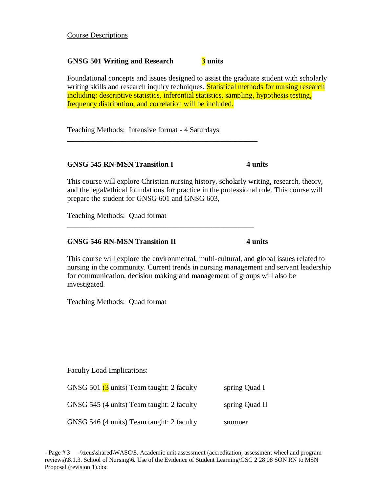Course Descriptions

#### **GNSG 501 Writing and Research 3 units**

Foundational concepts and issues designed to assist the graduate student with scholarly writing skills and research inquiry techniques. Statistical methods for nursing research including: descriptive statistics, inferential statistics, sampling, hypothesis testing, frequency distribution, and correlation will be included.

Teaching Methods: Intensive format - 4 Saturdays

\_\_\_\_\_\_\_\_\_\_\_\_\_\_\_\_\_\_\_\_\_\_\_\_\_\_\_\_\_\_\_\_\_\_\_\_\_\_\_\_\_\_\_\_\_\_\_\_\_\_

\_\_\_\_\_\_\_\_\_\_\_\_\_\_\_\_\_\_\_\_\_\_\_\_\_\_\_\_\_\_\_\_\_\_\_\_\_\_\_\_\_\_\_\_\_\_\_\_\_\_\_

#### **GNSG 545 RN-MSN Transition I 4 units**

This course will explore Christian nursing history, scholarly writing, research, theory, and the legal/ethical foundations for practice in the professional role. This course will prepare the student for GNSG 601 and GNSG 603,

Teaching Methods: Quad format

#### **GNSG 546 RN-MSN Transition II 4 units**

This course will explore the environmental, multi-cultural, and global issues related to nursing in the community. Current trends in nursing management and servant leadership for communication, decision making and management of groups will also be investigated.

Teaching Methods: Quad format

Faculty Load Implications:

| GNSG 501 (3 units) Team taught: 2 faculty | spring Quad I  |
|-------------------------------------------|----------------|
| GNSG 545 (4 units) Team taught: 2 faculty | spring Quad II |
| GNSG 546 (4 units) Team taught: 2 faculty | summer         |

- Page # 3 -\\zeus\shared\WASC\8. Academic unit assessment (accreditation, assessment wheel and program reviews)\8.1.3. School of Nursing\6. Use of the Evidence of Student Learning\GSC 2 28 08 SON RN to MSN Proposal (revision 1).doc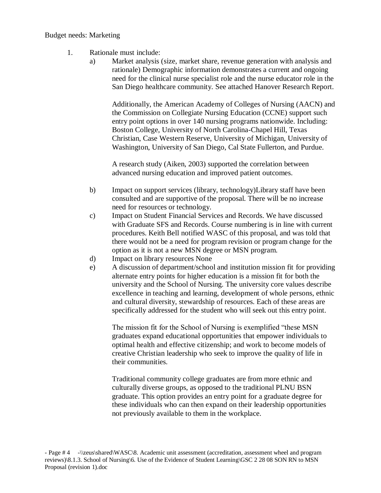#### Budget needs: Marketing

- 1. Rationale must include:
	- a) Market analysis (size, market share, revenue generation with analysis and rationale) Demographic information demonstrates a current and ongoing need for the clinical nurse specialist role and the nurse educator role in the San Diego healthcare community. See attached Hanover Research Report.

Additionally, the American Academy of Colleges of Nursing (AACN) and the Commission on Collegiate Nursing Education (CCNE) support such entry point options in over 140 nursing programs nationwide. Including: Boston College, University of North Carolina-Chapel Hill, Texas Christian, Case Western Reserve, University of Michigan, University of Washington, University of San Diego, Cal State Fullerton, and Purdue.

A research study (Aiken, 2003) supported the correlation between advanced nursing education and improved patient outcomes.

- b) Impact on support services (library, technology)Library staff have been consulted and are supportive of the proposal. There will be no increase need for resources or technology.
- c) Impact on Student Financial Services and Records. We have discussed with Graduate SFS and Records. Course numbering is in line with current procedures. Keith Bell notified WASC of this proposal, and was told that there would not be a need for program revision or program change for the option as it is not a new MSN degree or MSN program.
- d) Impact on library resources None
- e) A discussion of department/school and institution mission fit for providing alternate entry points for higher education is a mission fit for both the university and the School of Nursing. The university core values describe excellence in teaching and learning, development of whole persons, ethnic and cultural diversity, stewardship of resources. Each of these areas are specifically addressed for the student who will seek out this entry point.

The mission fit for the School of Nursing is exemplified "these MSN graduates expand educational opportunities that empower individuals to optimal health and effective citizenship; and work to become models of creative Christian leadership who seek to improve the quality of life in their communities.

Traditional community college graduates are from more ethnic and culturally diverse groups, as opposed to the traditional PLNU BSN graduate. This option provides an entry point for a graduate degree for these individuals who can then expand on their leadership opportunities not previously available to them in the workplace.